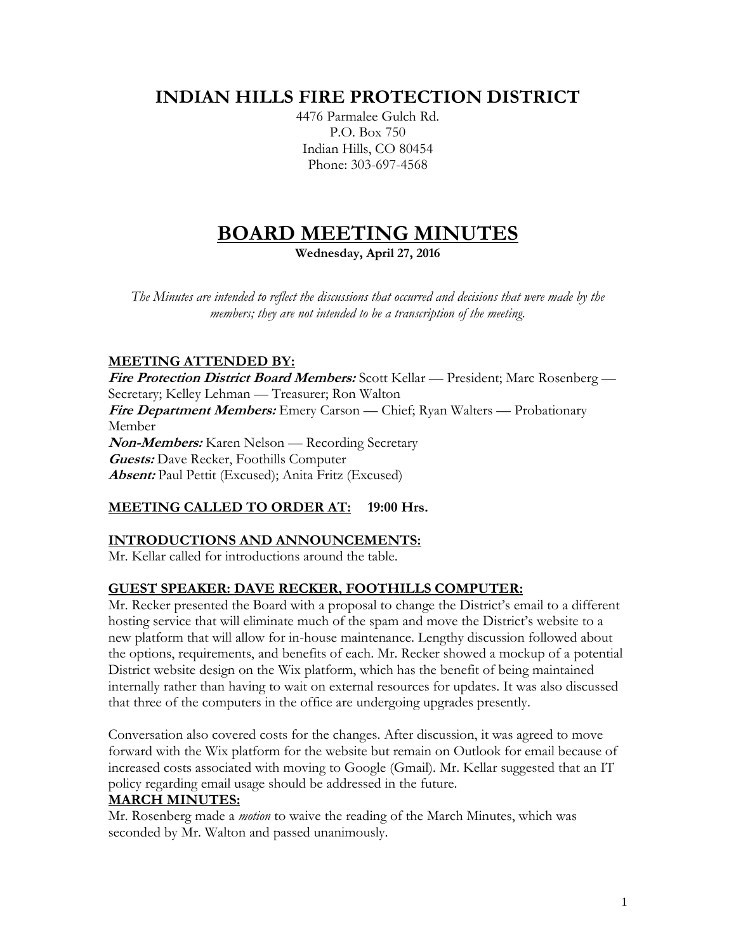# **INDIAN HILLS FIRE PROTECTION DISTRICT**

4476 Parmalee Gulch Rd. P.O. Box 750 Indian Hills, CO 80454 Phone: 303-697-4568

# **BOARD MEETING MINUTES**

**Wednesday, April 27, 2016**

*The Minutes are intended to reflect the discussions that occurred and decisions that were made by the members; they are not intended to be a transcription of the meeting.*

# **MEETING ATTENDED BY:**

**Fire Protection District Board Members:** Scott Kellar — President; Marc Rosenberg — Secretary; Kelley Lehman — Treasurer; Ron Walton **Fire Department Members:** Emery Carson — Chief; Ryan Walters — Probationary Member **Non-Members:** Karen Nelson — Recording Secretary **Guests:** Dave Recker, Foothills Computer **Absent:** Paul Pettit (Excused); Anita Fritz (Excused)

# **MEETING CALLED TO ORDER AT: 19:00 Hrs.**

# **INTRODUCTIONS AND ANNOUNCEMENTS:**

Mr. Kellar called for introductions around the table.

# **GUEST SPEAKER: DAVE RECKER, FOOTHILLS COMPUTER:**

Mr. Recker presented the Board with a proposal to change the District's email to a different hosting service that will eliminate much of the spam and move the District's website to a new platform that will allow for in-house maintenance. Lengthy discussion followed about the options, requirements, and benefits of each. Mr. Recker showed a mockup of a potential District website design on the Wix platform, which has the benefit of being maintained internally rather than having to wait on external resources for updates. It was also discussed that three of the computers in the office are undergoing upgrades presently.

Conversation also covered costs for the changes. After discussion, it was agreed to move forward with the Wix platform for the website but remain on Outlook for email because of increased costs associated with moving to Google (Gmail). Mr. Kellar suggested that an IT policy regarding email usage should be addressed in the future.

# **MARCH MINUTES:**

Mr. Rosenberg made a *motion* to waive the reading of the March Minutes, which was seconded by Mr. Walton and passed unanimously.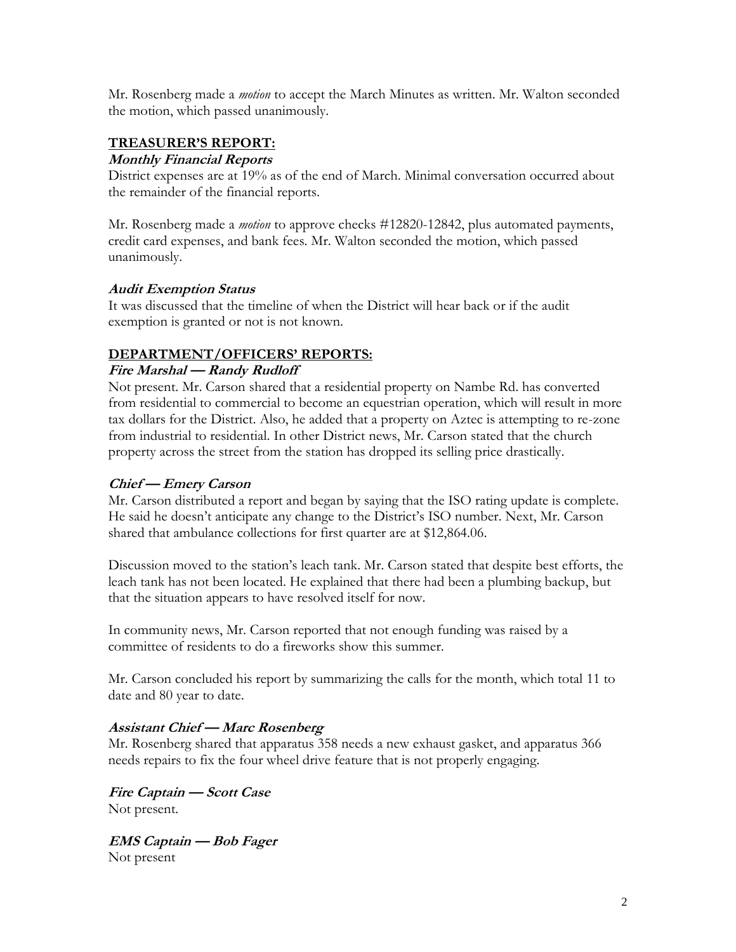Mr. Rosenberg made a *motion* to accept the March Minutes as written. Mr. Walton seconded the motion, which passed unanimously.

# **TREASURER'S REPORT:**

#### **Monthly Financial Reports**

District expenses are at 19% as of the end of March. Minimal conversation occurred about the remainder of the financial reports.

Mr. Rosenberg made a *motion* to approve checks #12820-12842, plus automated payments, credit card expenses, and bank fees. Mr. Walton seconded the motion, which passed unanimously.

## **Audit Exemption Status**

It was discussed that the timeline of when the District will hear back or if the audit exemption is granted or not is not known.

## **DEPARTMENT/OFFICERS' REPORTS:**

#### **Fire Marshal — Randy Rudloff**

Not present. Mr. Carson shared that a residential property on Nambe Rd. has converted from residential to commercial to become an equestrian operation, which will result in more tax dollars for the District. Also, he added that a property on Aztec is attempting to re-zone from industrial to residential. In other District news, Mr. Carson stated that the church property across the street from the station has dropped its selling price drastically.

## **Chief — Emery Carson**

Mr. Carson distributed a report and began by saying that the ISO rating update is complete. He said he doesn't anticipate any change to the District's ISO number. Next, Mr. Carson shared that ambulance collections for first quarter are at \$12,864.06.

Discussion moved to the station's leach tank. Mr. Carson stated that despite best efforts, the leach tank has not been located. He explained that there had been a plumbing backup, but that the situation appears to have resolved itself for now.

In community news, Mr. Carson reported that not enough funding was raised by a committee of residents to do a fireworks show this summer.

Mr. Carson concluded his report by summarizing the calls for the month, which total 11 to date and 80 year to date.

# **Assistant Chief — Marc Rosenberg**

Mr. Rosenberg shared that apparatus 358 needs a new exhaust gasket, and apparatus 366 needs repairs to fix the four wheel drive feature that is not properly engaging.

**Fire Captain — Scott Case** Not present.

**EMS Captain — Bob Fager** Not present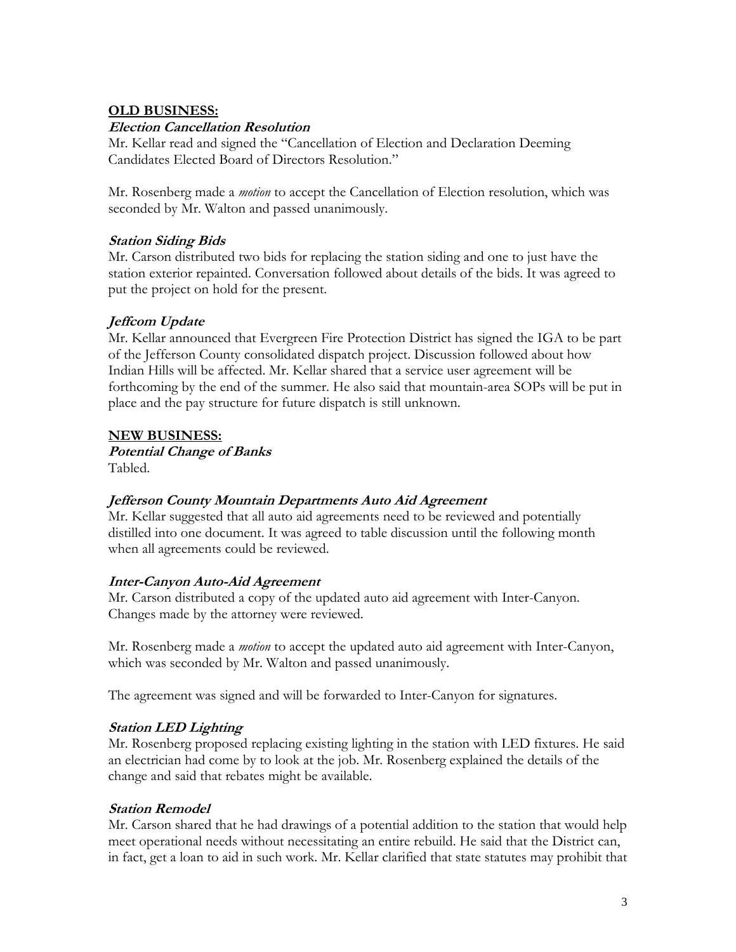# **OLD BUSINESS:**

## **Election Cancellation Resolution**

Mr. Kellar read and signed the "Cancellation of Election and Declaration Deeming Candidates Elected Board of Directors Resolution."

Mr. Rosenberg made a *motion* to accept the Cancellation of Election resolution, which was seconded by Mr. Walton and passed unanimously.

#### **Station Siding Bids**

Mr. Carson distributed two bids for replacing the station siding and one to just have the station exterior repainted. Conversation followed about details of the bids. It was agreed to put the project on hold for the present.

## **Jeffcom Update**

Mr. Kellar announced that Evergreen Fire Protection District has signed the IGA to be part of the Jefferson County consolidated dispatch project. Discussion followed about how Indian Hills will be affected. Mr. Kellar shared that a service user agreement will be forthcoming by the end of the summer. He also said that mountain-area SOPs will be put in place and the pay structure for future dispatch is still unknown.

#### **NEW BUSINESS:**

**Potential Change of Banks** Tabled.

## **Jefferson County Mountain Departments Auto Aid Agreement**

Mr. Kellar suggested that all auto aid agreements need to be reviewed and potentially distilled into one document. It was agreed to table discussion until the following month when all agreements could be reviewed.

## **Inter-Canyon Auto-Aid Agreement**

Mr. Carson distributed a copy of the updated auto aid agreement with Inter-Canyon. Changes made by the attorney were reviewed.

Mr. Rosenberg made a *motion* to accept the updated auto aid agreement with Inter-Canyon, which was seconded by Mr. Walton and passed unanimously.

The agreement was signed and will be forwarded to Inter-Canyon for signatures.

## **Station LED Lighting**

Mr. Rosenberg proposed replacing existing lighting in the station with LED fixtures. He said an electrician had come by to look at the job. Mr. Rosenberg explained the details of the change and said that rebates might be available.

## **Station Remodel**

Mr. Carson shared that he had drawings of a potential addition to the station that would help meet operational needs without necessitating an entire rebuild. He said that the District can, in fact, get a loan to aid in such work. Mr. Kellar clarified that state statutes may prohibit that